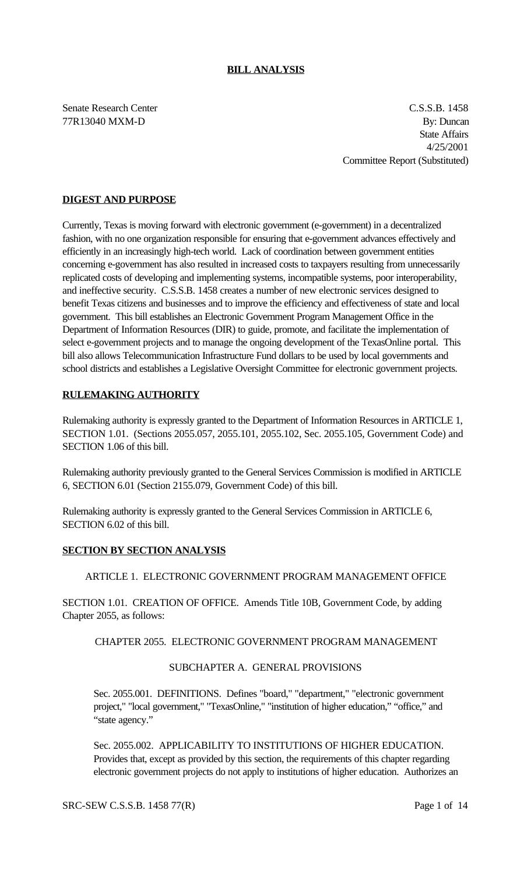### **BILL ANALYSIS**

Senate Research Center C.S.S.B. 1458 77R13040 MXM-D By: Duncan State Affairs 4/25/2001 Committee Report (Substituted)

## **DIGEST AND PURPOSE**

Currently, Texas is moving forward with electronic government (e-government) in a decentralized fashion, with no one organization responsible for ensuring that e-government advances effectively and efficiently in an increasingly high-tech world. Lack of coordination between government entities concerning e-government has also resulted in increased costs to taxpayers resulting from unnecessarily replicated costs of developing and implementing systems, incompatible systems, poor interoperability, and ineffective security. C.S.S.B. 1458 creates a number of new electronic services designed to benefit Texas citizens and businesses and to improve the efficiency and effectiveness of state and local government. This bill establishes an Electronic Government Program Management Office in the Department of Information Resources (DIR) to guide, promote, and facilitate the implementation of select e-government projects and to manage the ongoing development of the TexasOnline portal. This bill also allows Telecommunication Infrastructure Fund dollars to be used by local governments and school districts and establishes a Legislative Oversight Committee for electronic government projects.

## **RULEMAKING AUTHORITY**

Rulemaking authority is expressly granted to the Department of Information Resources in ARTICLE 1, SECTION 1.01. (Sections 2055.057, 2055.101, 2055.102, Sec. 2055.105, Government Code) and SECTION 1.06 of this bill.

Rulemaking authority previously granted to the General Services Commission is modified in ARTICLE 6, SECTION 6.01 (Section 2155.079, Government Code) of this bill.

Rulemaking authority is expressly granted to the General Services Commission in ARTICLE 6, SECTION 6.02 of this bill.

### **SECTION BY SECTION ANALYSIS**

### ARTICLE 1. ELECTRONIC GOVERNMENT PROGRAM MANAGEMENT OFFICE

SECTION 1.01. CREATION OF OFFICE. Amends Title 10B, Government Code, by adding Chapter 2055, as follows:

CHAPTER 2055. ELECTRONIC GOVERNMENT PROGRAM MANAGEMENT

#### SUBCHAPTER A. GENERAL PROVISIONS

Sec. 2055.001. DEFINITIONS. Defines "board," "department," "electronic government project," "local government," "TexasOnline," "institution of higher education," "office," and "state agency."

Sec. 2055.002. APPLICABILITY TO INSTITUTIONS OF HIGHER EDUCATION. Provides that, except as provided by this section, the requirements of this chapter regarding electronic government projects do not apply to institutions of higher education. Authorizes an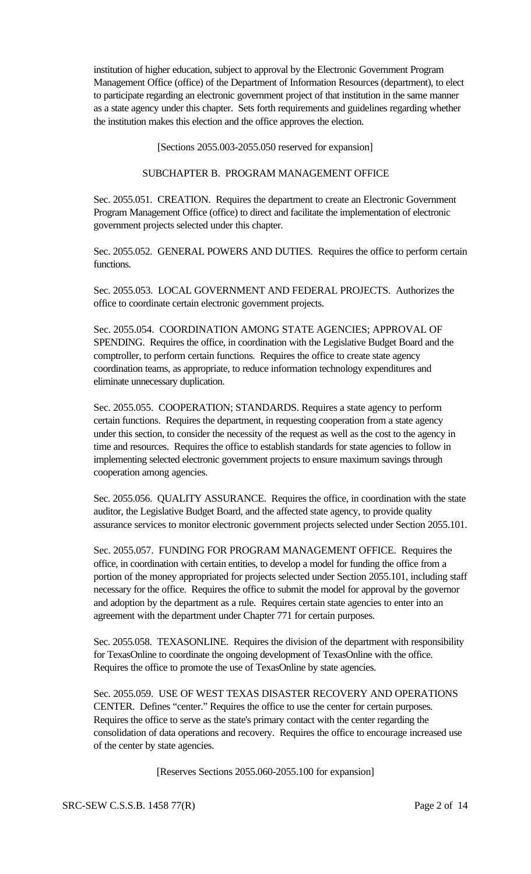institution of higher education, subject to approval by the Electronic Government Program Management Office (office) of the Department of Information Resources (department), to elect to participate regarding an electronic government project of that institution in the same manner as a state agency under this chapter. Sets forth requirements and guidelines regarding whether the institution makes this election and the office approves the election.

[Sections 2055.003-2055.050 reserved for expansion]

### SUBCHAPTER B. PROGRAM MANAGEMENT OFFICE

Sec. 2055.051. CREATION. Requires the department to create an Electronic Government Program Management Office (office) to direct and facilitate the implementation of electronic government projects selected under this chapter.

Sec. 2055.052. GENERAL POWERS AND DUTIES. Requires the office to perform certain functions.

Sec. 2055.053. LOCAL GOVERNMENT AND FEDERAL PROJECTS. Authorizes the office to coordinate certain electronic government projects.

Sec. 2055.054. COORDINATION AMONG STATE AGENCIES; APPROVAL OF SPENDING. Requires the office, in coordination with the Legislative Budget Board and the comptroller, to perform certain functions. Requires the office to create state agency coordination teams, as appropriate, to reduce information technology expenditures and eliminate unnecessary duplication.

Sec. 2055.055. COOPERATION; STANDARDS. Requires a state agency to perform certain functions. Requires the department, in requesting cooperation from a state agency under this section, to consider the necessity of the request as well as the cost to the agency in time and resources. Requires the office to establish standards for state agencies to follow in implementing selected electronic government projects to ensure maximum savings through cooperation among agencies.

Sec. 2055.056. QUALITY ASSURANCE. Requires the office, in coordination with the state auditor, the Legislative Budget Board, and the affected state agency, to provide quality assurance services to monitor electronic government projects selected under Section 2055.101.

Sec. 2055.057. FUNDING FOR PROGRAM MANAGEMENT OFFICE. Requires the office, in coordination with certain entities, to develop a model for funding the office from a portion of the money appropriated for projects selected under Section 2055.101, including staff necessary for the office. Requires the office to submit the model for approval by the governor and adoption by the department as a rule. Requires certain state agencies to enter into an agreement with the department under Chapter 771 for certain purposes.

Sec. 2055.058. TEXASONLINE. Requires the division of the department with responsibility for TexasOnline to coordinate the ongoing development of TexasOnline with the office. Requires the office to promote the use of TexasOnline by state agencies.

Sec. 2055.059. USE OF WEST TEXAS DISASTER RECOVERY AND OPERATIONS CENTER. Defines "center." Requires the office to use the center for certain purposes. Requires the office to serve as the state's primary contact with the center regarding the consolidation of data operations and recovery. Requires the office to encourage increased use of the center by state agencies.

[Reserves Sections 2055.060-2055.100 for expansion]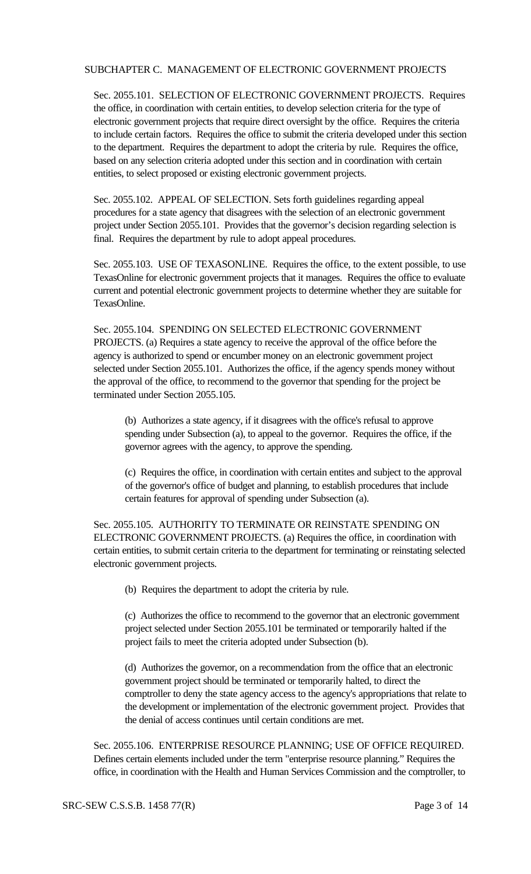#### SUBCHAPTER C. MANAGEMENT OF ELECTRONIC GOVERNMENT PROJECTS

Sec. 2055.101. SELECTION OF ELECTRONIC GOVERNMENT PROJECTS. Requires the office, in coordination with certain entities, to develop selection criteria for the type of electronic government projects that require direct oversight by the office. Requires the criteria to include certain factors. Requires the office to submit the criteria developed under this section to the department. Requires the department to adopt the criteria by rule. Requires the office, based on any selection criteria adopted under this section and in coordination with certain entities, to select proposed or existing electronic government projects.

Sec. 2055.102. APPEAL OF SELECTION. Sets forth guidelines regarding appeal procedures for a state agency that disagrees with the selection of an electronic government project under Section 2055.101. Provides that the governor's decision regarding selection is final. Requires the department by rule to adopt appeal procedures.

Sec. 2055.103. USE OF TEXASONLINE. Requires the office, to the extent possible, to use TexasOnline for electronic government projects that it manages. Requires the office to evaluate current and potential electronic government projects to determine whether they are suitable for TexasOnline.

Sec. 2055.104. SPENDING ON SELECTED ELECTRONIC GOVERNMENT PROJECTS. (a) Requires a state agency to receive the approval of the office before the agency is authorized to spend or encumber money on an electronic government project selected under Section 2055.101. Authorizes the office, if the agency spends money without the approval of the office, to recommend to the governor that spending for the project be terminated under Section 2055.105.

(b) Authorizes a state agency, if it disagrees with the office's refusal to approve spending under Subsection (a), to appeal to the governor. Requires the office, if the governor agrees with the agency, to approve the spending.

(c) Requires the office, in coordination with certain entites and subject to the approval of the governor's office of budget and planning, to establish procedures that include certain features for approval of spending under Subsection (a).

Sec. 2055.105. AUTHORITY TO TERMINATE OR REINSTATE SPENDING ON ELECTRONIC GOVERNMENT PROJECTS. (a) Requires the office, in coordination with certain entities, to submit certain criteria to the department for terminating or reinstating selected electronic government projects.

(b) Requires the department to adopt the criteria by rule.

(c) Authorizes the office to recommend to the governor that an electronic government project selected under Section 2055.101 be terminated or temporarily halted if the project fails to meet the criteria adopted under Subsection (b).

(d) Authorizes the governor, on a recommendation from the office that an electronic government project should be terminated or temporarily halted, to direct the comptroller to deny the state agency access to the agency's appropriations that relate to the development or implementation of the electronic government project. Provides that the denial of access continues until certain conditions are met.

Sec. 2055.106. ENTERPRISE RESOURCE PLANNING; USE OF OFFICE REQUIRED. Defines certain elements included under the term "enterprise resource planning." Requires the office, in coordination with the Health and Human Services Commission and the comptroller, to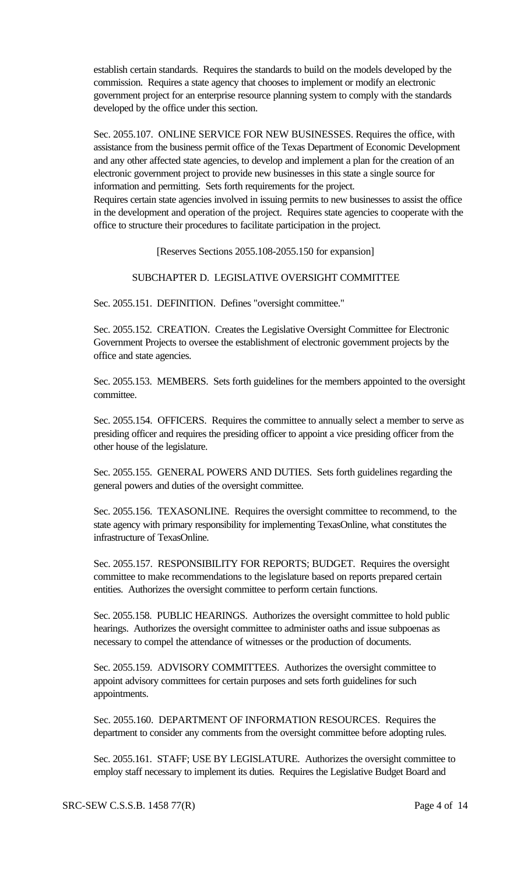establish certain standards. Requires the standards to build on the models developed by the commission. Requires a state agency that chooses to implement or modify an electronic government project for an enterprise resource planning system to comply with the standards developed by the office under this section.

Sec. 2055.107. ONLINE SERVICE FOR NEW BUSINESSES. Requires the office, with assistance from the business permit office of the Texas Department of Economic Development and any other affected state agencies, to develop and implement a plan for the creation of an electronic government project to provide new businesses in this state a single source for information and permitting. Sets forth requirements for the project. Requires certain state agencies involved in issuing permits to new businesses to assist the office in the development and operation of the project. Requires state agencies to cooperate with the office to structure their procedures to facilitate participation in the project.

[Reserves Sections 2055.108-2055.150 for expansion]

### SUBCHAPTER D. LEGISLATIVE OVERSIGHT COMMITTEE

Sec. 2055.151. DEFINITION. Defines "oversight committee."

Sec. 2055.152. CREATION. Creates the Legislative Oversight Committee for Electronic Government Projects to oversee the establishment of electronic government projects by the office and state agencies.

Sec. 2055.153. MEMBERS. Sets forth guidelines for the members appointed to the oversight committee.

Sec. 2055.154. OFFICERS. Requires the committee to annually select a member to serve as presiding officer and requires the presiding officer to appoint a vice presiding officer from the other house of the legislature.

Sec. 2055.155. GENERAL POWERS AND DUTIES. Sets forth guidelines regarding the general powers and duties of the oversight committee.

Sec. 2055.156. TEXASONLINE. Requires the oversight committee to recommend, to the state agency with primary responsibility for implementing TexasOnline, what constitutes the infrastructure of TexasOnline.

Sec. 2055.157. RESPONSIBILITY FOR REPORTS; BUDGET. Requires the oversight committee to make recommendations to the legislature based on reports prepared certain entities. Authorizes the oversight committee to perform certain functions.

Sec. 2055.158. PUBLIC HEARINGS. Authorizes the oversight committee to hold public hearings. Authorizes the oversight committee to administer oaths and issue subpoenas as necessary to compel the attendance of witnesses or the production of documents.

Sec. 2055.159. ADVISORY COMMITTEES. Authorizes the oversight committee to appoint advisory committees for certain purposes and sets forth guidelines for such appointments.

Sec. 2055.160. DEPARTMENT OF INFORMATION RESOURCES. Requires the department to consider any comments from the oversight committee before adopting rules.

Sec. 2055.161. STAFF; USE BY LEGISLATURE. Authorizes the oversight committee to employ staff necessary to implement its duties. Requires the Legislative Budget Board and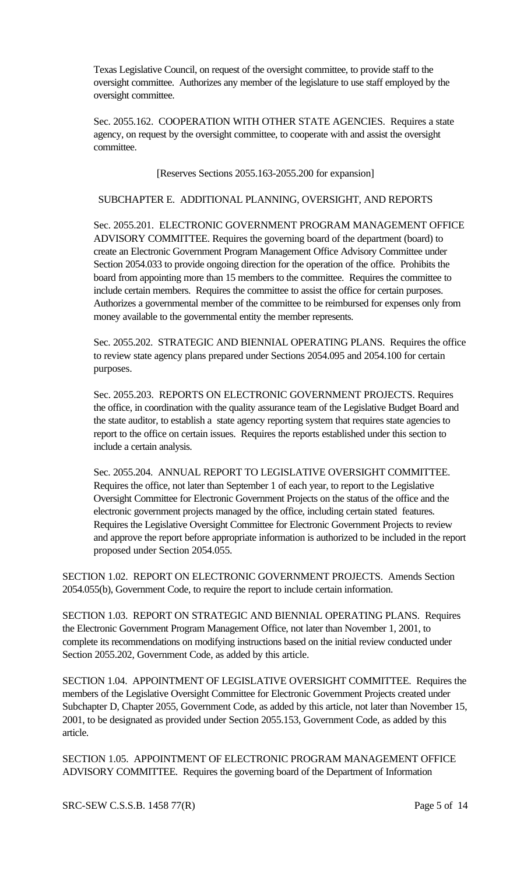Texas Legislative Council, on request of the oversight committee, to provide staff to the oversight committee. Authorizes any member of the legislature to use staff employed by the oversight committee.

Sec. 2055.162. COOPERATION WITH OTHER STATE AGENCIES. Requires a state agency, on request by the oversight committee, to cooperate with and assist the oversight committee.

[Reserves Sections 2055.163-2055.200 for expansion]

### SUBCHAPTER E. ADDITIONAL PLANNING, OVERSIGHT, AND REPORTS

Sec. 2055.201. ELECTRONIC GOVERNMENT PROGRAM MANAGEMENT OFFICE ADVISORY COMMITTEE. Requires the governing board of the department (board) to create an Electronic Government Program Management Office Advisory Committee under Section 2054.033 to provide ongoing direction for the operation of the office. Prohibits the board from appointing more than 15 members to the committee. Requires the committee to include certain members. Requires the committee to assist the office for certain purposes. Authorizes a governmental member of the committee to be reimbursed for expenses only from money available to the governmental entity the member represents.

Sec. 2055.202. STRATEGIC AND BIENNIAL OPERATING PLANS. Requires the office to review state agency plans prepared under Sections 2054.095 and 2054.100 for certain purposes.

Sec. 2055.203. REPORTS ON ELECTRONIC GOVERNMENT PROJECTS. Requires the office, in coordination with the quality assurance team of the Legislative Budget Board and the state auditor, to establish a state agency reporting system that requires state agencies to report to the office on certain issues. Requires the reports established under this section to include a certain analysis.

Sec. 2055.204. ANNUAL REPORT TO LEGISLATIVE OVERSIGHT COMMITTEE. Requires the office, not later than September 1 of each year, to report to the Legislative Oversight Committee for Electronic Government Projects on the status of the office and the electronic government projects managed by the office, including certain stated features. Requires the Legislative Oversight Committee for Electronic Government Projects to review and approve the report before appropriate information is authorized to be included in the report proposed under Section 2054.055.

SECTION 1.02. REPORT ON ELECTRONIC GOVERNMENT PROJECTS. Amends Section 2054.055(b), Government Code, to require the report to include certain information.

SECTION 1.03. REPORT ON STRATEGIC AND BIENNIAL OPERATING PLANS. Requires the Electronic Government Program Management Office, not later than November 1, 2001, to complete its recommendations on modifying instructions based on the initial review conducted under Section 2055.202, Government Code, as added by this article.

SECTION 1.04. APPOINTMENT OF LEGISLATIVE OVERSIGHT COMMITTEE. Requires the members of the Legislative Oversight Committee for Electronic Government Projects created under Subchapter D, Chapter 2055, Government Code, as added by this article, not later than November 15, 2001, to be designated as provided under Section 2055.153, Government Code, as added by this article.

SECTION 1.05. APPOINTMENT OF ELECTRONIC PROGRAM MANAGEMENT OFFICE ADVISORY COMMITTEE. Requires the governing board of the Department of Information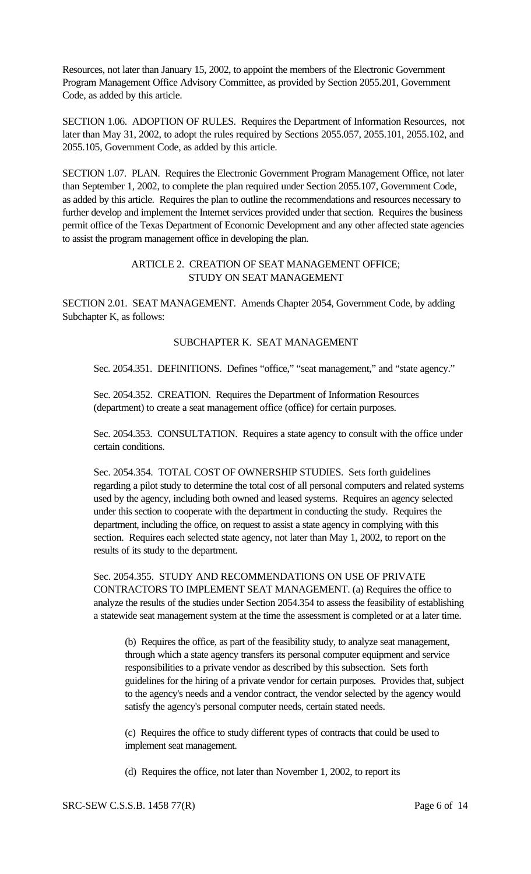Resources, not later than January 15, 2002, to appoint the members of the Electronic Government Program Management Office Advisory Committee, as provided by Section 2055.201, Government Code, as added by this article.

SECTION 1.06. ADOPTION OF RULES. Requires the Department of Information Resources, not later than May 31, 2002, to adopt the rules required by Sections 2055.057, 2055.101, 2055.102, and 2055.105, Government Code, as added by this article.

SECTION 1.07. PLAN. Requires the Electronic Government Program Management Office, not later than September 1, 2002, to complete the plan required under Section 2055.107, Government Code, as added by this article. Requires the plan to outline the recommendations and resources necessary to further develop and implement the Internet services provided under that section. Requires the business permit office of the Texas Department of Economic Development and any other affected state agencies to assist the program management office in developing the plan.

### ARTICLE 2. CREATION OF SEAT MANAGEMENT OFFICE; STUDY ON SEAT MANAGEMENT

SECTION 2.01. SEAT MANAGEMENT. Amends Chapter 2054, Government Code, by adding Subchapter K, as follows:

### SUBCHAPTER K. SEAT MANAGEMENT

Sec. 2054.351. DEFINITIONS. Defines "office," "seat management," and "state agency."

Sec. 2054.352. CREATION. Requires the Department of Information Resources (department) to create a seat management office (office) for certain purposes.

Sec. 2054.353. CONSULTATION. Requires a state agency to consult with the office under certain conditions.

Sec. 2054.354. TOTAL COST OF OWNERSHIP STUDIES. Sets forth guidelines regarding a pilot study to determine the total cost of all personal computers and related systems used by the agency, including both owned and leased systems. Requires an agency selected under this section to cooperate with the department in conducting the study. Requires the department, including the office, on request to assist a state agency in complying with this section. Requires each selected state agency, not later than May 1, 2002, to report on the results of its study to the department.

Sec. 2054.355. STUDY AND RECOMMENDATIONS ON USE OF PRIVATE CONTRACTORS TO IMPLEMENT SEAT MANAGEMENT. (a) Requires the office to analyze the results of the studies under Section 2054.354 to assess the feasibility of establishing a statewide seat management system at the time the assessment is completed or at a later time.

(b) Requires the office, as part of the feasibility study, to analyze seat management, through which a state agency transfers its personal computer equipment and service responsibilities to a private vendor as described by this subsection. Sets forth guidelines for the hiring of a private vendor for certain purposes. Provides that, subject to the agency's needs and a vendor contract, the vendor selected by the agency would satisfy the agency's personal computer needs, certain stated needs.

(c) Requires the office to study different types of contracts that could be used to implement seat management.

(d) Requires the office, not later than November 1, 2002, to report its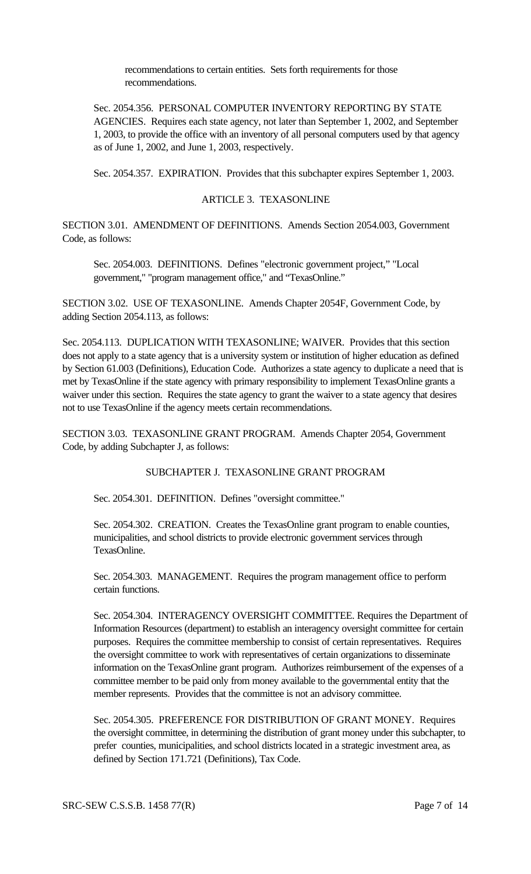recommendations to certain entities. Sets forth requirements for those recommendations.

Sec. 2054.356. PERSONAL COMPUTER INVENTORY REPORTING BY STATE AGENCIES. Requires each state agency, not later than September 1, 2002, and September 1, 2003, to provide the office with an inventory of all personal computers used by that agency as of June 1, 2002, and June 1, 2003, respectively.

Sec. 2054.357. EXPIRATION. Provides that this subchapter expires September 1, 2003.

#### ARTICLE 3. TEXASONLINE

SECTION 3.01. AMENDMENT OF DEFINITIONS. Amends Section 2054.003, Government Code, as follows:

Sec. 2054.003. DEFINITIONS. Defines "electronic government project," "Local government," "program management office," and "TexasOnline."

SECTION 3.02. USE OF TEXASONLINE. Amends Chapter 2054F, Government Code, by adding Section 2054.113, as follows:

Sec. 2054.113. DUPLICATION WITH TEXASONLINE; WAIVER. Provides that this section does not apply to a state agency that is a university system or institution of higher education as defined by Section 61.003 (Definitions), Education Code. Authorizes a state agency to duplicate a need that is met by TexasOnline if the state agency with primary responsibility to implement TexasOnline grants a waiver under this section. Requires the state agency to grant the waiver to a state agency that desires not to use TexasOnline if the agency meets certain recommendations.

SECTION 3.03. TEXASONLINE GRANT PROGRAM. Amends Chapter 2054, Government Code, by adding Subchapter J, as follows:

#### SUBCHAPTER J. TEXASONLINE GRANT PROGRAM

Sec. 2054.301. DEFINITION. Defines "oversight committee."

Sec. 2054.302. CREATION. Creates the TexasOnline grant program to enable counties, municipalities, and school districts to provide electronic government services through TexasOnline.

Sec. 2054.303. MANAGEMENT. Requires the program management office to perform certain functions.

Sec. 2054.304. INTERAGENCY OVERSIGHT COMMITTEE. Requires the Department of Information Resources (department) to establish an interagency oversight committee for certain purposes. Requires the committee membership to consist of certain representatives. Requires the oversight committee to work with representatives of certain organizations to disseminate information on the TexasOnline grant program. Authorizes reimbursement of the expenses of a committee member to be paid only from money available to the governmental entity that the member represents. Provides that the committee is not an advisory committee.

Sec. 2054.305. PREFERENCE FOR DISTRIBUTION OF GRANT MONEY. Requires the oversight committee, in determining the distribution of grant money under this subchapter, to prefer counties, municipalities, and school districts located in a strategic investment area, as defined by Section 171.721 (Definitions), Tax Code.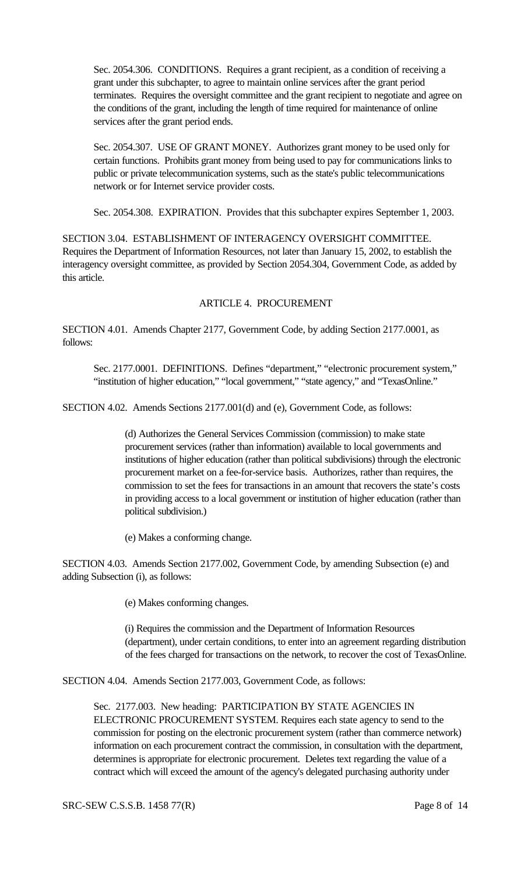Sec. 2054.306. CONDITIONS. Requires a grant recipient, as a condition of receiving a grant under this subchapter, to agree to maintain online services after the grant period terminates. Requires the oversight committee and the grant recipient to negotiate and agree on the conditions of the grant, including the length of time required for maintenance of online services after the grant period ends.

Sec. 2054.307. USE OF GRANT MONEY. Authorizes grant money to be used only for certain functions. Prohibits grant money from being used to pay for communications links to public or private telecommunication systems, such as the state's public telecommunications network or for Internet service provider costs.

Sec. 2054.308. EXPIRATION. Provides that this subchapter expires September 1, 2003.

SECTION 3.04. ESTABLISHMENT OF INTERAGENCY OVERSIGHT COMMITTEE. Requires the Department of Information Resources, not later than January 15, 2002, to establish the interagency oversight committee, as provided by Section 2054.304, Government Code, as added by this article.

# ARTICLE 4. PROCUREMENT

SECTION 4.01. Amends Chapter 2177, Government Code, by adding Section 2177.0001, as follows:

Sec. 2177.0001. DEFINITIONS. Defines "department," "electronic procurement system," "institution of higher education," "local government," "state agency," and "TexasOnline."

SECTION 4.02. Amends Sections 2177.001(d) and (e), Government Code, as follows:

(d) Authorizes the General Services Commission (commission) to make state procurement services (rather than information) available to local governments and institutions of higher education (rather than political subdivisions) through the electronic procurement market on a fee-for-service basis. Authorizes, rather than requires, the commission to set the fees for transactions in an amount that recovers the state's costs in providing access to a local government or institution of higher education (rather than political subdivision.)

(e) Makes a conforming change.

SECTION 4.03. Amends Section 2177.002, Government Code, by amending Subsection (e) and adding Subsection (i), as follows:

(e) Makes conforming changes.

(i) Requires the commission and the Department of Information Resources (department), under certain conditions, to enter into an agreement regarding distribution of the fees charged for transactions on the network, to recover the cost of TexasOnline.

SECTION 4.04. Amends Section 2177.003, Government Code, as follows:

Sec. 2177.003. New heading: PARTICIPATION BY STATE AGENCIES IN ELECTRONIC PROCUREMENT SYSTEM. Requires each state agency to send to the commission for posting on the electronic procurement system (rather than commerce network) information on each procurement contract the commission, in consultation with the department, determines is appropriate for electronic procurement. Deletes text regarding the value of a contract which will exceed the amount of the agency's delegated purchasing authority under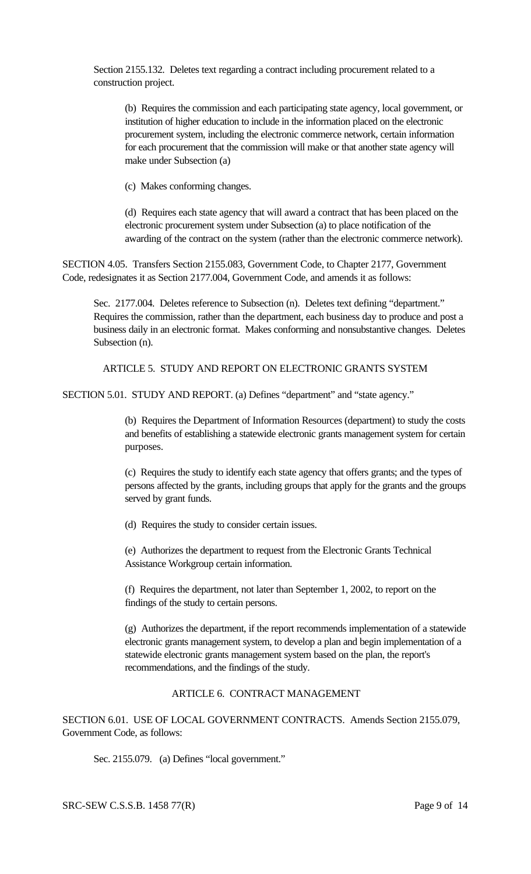Section 2155.132. Deletes text regarding a contract including procurement related to a construction project.

(b) Requires the commission and each participating state agency, local government, or institution of higher education to include in the information placed on the electronic procurement system, including the electronic commerce network, certain information for each procurement that the commission will make or that another state agency will make under Subsection (a)

(c) Makes conforming changes.

(d) Requires each state agency that will award a contract that has been placed on the electronic procurement system under Subsection (a) to place notification of the awarding of the contract on the system (rather than the electronic commerce network).

SECTION 4.05. Transfers Section 2155.083, Government Code, to Chapter 2177, Government Code, redesignates it as Section 2177.004, Government Code, and amends it as follows:

Sec. 2177.004. Deletes reference to Subsection (n). Deletes text defining "department." Requires the commission, rather than the department, each business day to produce and post a business daily in an electronic format. Makes conforming and nonsubstantive changes. Deletes Subsection (n).

ARTICLE 5. STUDY AND REPORT ON ELECTRONIC GRANTS SYSTEM

SECTION 5.01. STUDY AND REPORT. (a) Defines "department" and "state agency."

(b) Requires the Department of Information Resources (department) to study the costs and benefits of establishing a statewide electronic grants management system for certain purposes.

(c) Requires the study to identify each state agency that offers grants; and the types of persons affected by the grants, including groups that apply for the grants and the groups served by grant funds.

(d) Requires the study to consider certain issues.

(e) Authorizes the department to request from the Electronic Grants Technical Assistance Workgroup certain information.

(f) Requires the department, not later than September 1, 2002, to report on the findings of the study to certain persons.

(g) Authorizes the department, if the report recommends implementation of a statewide electronic grants management system, to develop a plan and begin implementation of a statewide electronic grants management system based on the plan, the report's recommendations, and the findings of the study.

# ARTICLE 6. CONTRACT MANAGEMENT

SECTION 6.01. USE OF LOCAL GOVERNMENT CONTRACTS. Amends Section 2155.079, Government Code, as follows:

Sec. 2155.079. (a) Defines "local government."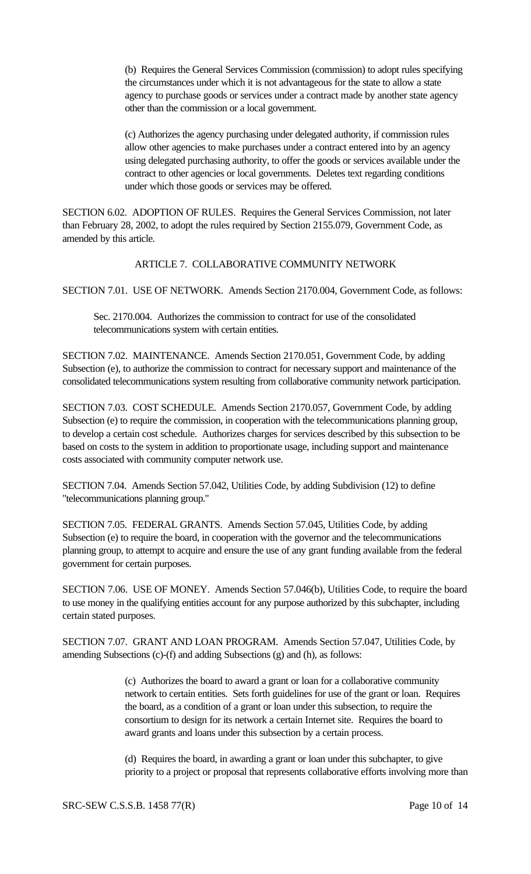(b) Requires the General Services Commission (commission) to adopt rules specifying the circumstances under which it is not advantageous for the state to allow a state agency to purchase goods or services under a contract made by another state agency other than the commission or a local government.

(c) Authorizes the agency purchasing under delegated authority, if commission rules allow other agencies to make purchases under a contract entered into by an agency using delegated purchasing authority, to offer the goods or services available under the contract to other agencies or local governments. Deletes text regarding conditions under which those goods or services may be offered.

SECTION 6.02. ADOPTION OF RULES. Requires the General Services Commission, not later than February 28, 2002, to adopt the rules required by Section 2155.079, Government Code, as amended by this article.

### ARTICLE 7. COLLABORATIVE COMMUNITY NETWORK

SECTION 7.01. USE OF NETWORK. Amends Section 2170.004, Government Code, as follows:

Sec. 2170.004. Authorizes the commission to contract for use of the consolidated telecommunications system with certain entities.

SECTION 7.02. MAINTENANCE. Amends Section 2170.051, Government Code, by adding Subsection (e), to authorize the commission to contract for necessary support and maintenance of the consolidated telecommunications system resulting from collaborative community network participation.

SECTION 7.03. COST SCHEDULE. Amends Section 2170.057, Government Code, by adding Subsection (e) to require the commission, in cooperation with the telecommunications planning group, to develop a certain cost schedule. Authorizes charges for services described by this subsection to be based on costs to the system in addition to proportionate usage, including support and maintenance costs associated with community computer network use.

SECTION 7.04. Amends Section 57.042, Utilities Code, by adding Subdivision (12) to define "telecommunications planning group."

SECTION 7.05. FEDERAL GRANTS. Amends Section 57.045, Utilities Code, by adding Subsection (e) to require the board, in cooperation with the governor and the telecommunications planning group, to attempt to acquire and ensure the use of any grant funding available from the federal government for certain purposes.

SECTION 7.06. USE OF MONEY. Amends Section 57.046(b), Utilities Code, to require the board to use money in the qualifying entities account for any purpose authorized by this subchapter, including certain stated purposes.

SECTION 7.07. GRANT AND LOAN PROGRAM. Amends Section 57.047, Utilities Code, by amending Subsections (c)-(f) and adding Subsections (g) and (h), as follows:

> (c) Authorizes the board to award a grant or loan for a collaborative community network to certain entities. Sets forth guidelines for use of the grant or loan. Requires the board, as a condition of a grant or loan under this subsection, to require the consortium to design for its network a certain Internet site. Requires the board to award grants and loans under this subsection by a certain process.

(d) Requires the board, in awarding a grant or loan under this subchapter, to give priority to a project or proposal that represents collaborative efforts involving more than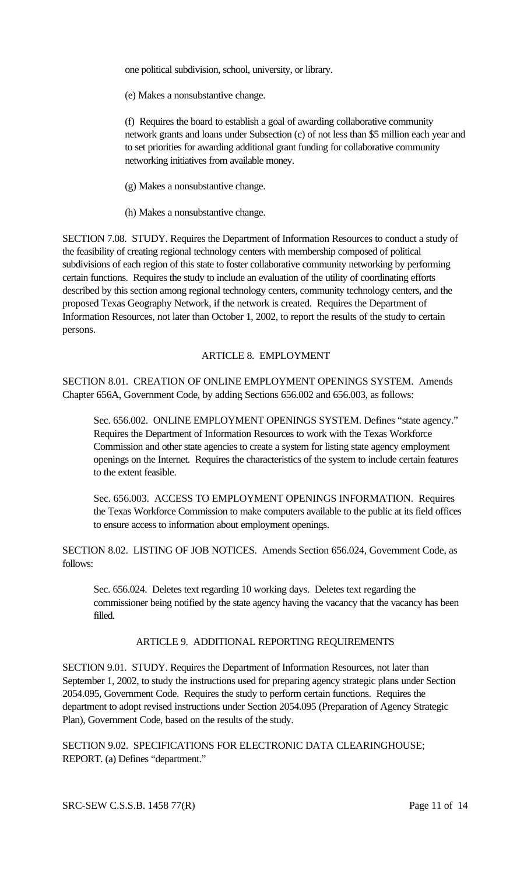one political subdivision, school, university, or library.

(e) Makes a nonsubstantive change.

(f) Requires the board to establish a goal of awarding collaborative community network grants and loans under Subsection (c) of not less than \$5 million each year and to set priorities for awarding additional grant funding for collaborative community networking initiatives from available money.

(g) Makes a nonsubstantive change.

(h) Makes a nonsubstantive change.

SECTION 7.08. STUDY. Requires the Department of Information Resources to conduct a study of the feasibility of creating regional technology centers with membership composed of political subdivisions of each region of this state to foster collaborative community networking by performing certain functions. Requires the study to include an evaluation of the utility of coordinating efforts described by this section among regional technology centers, community technology centers, and the proposed Texas Geography Network, if the network is created. Requires the Department of Information Resources, not later than October 1, 2002, to report the results of the study to certain persons.

# ARTICLE 8. EMPLOYMENT

SECTION 8.01. CREATION OF ONLINE EMPLOYMENT OPENINGS SYSTEM. Amends Chapter 656A, Government Code, by adding Sections 656.002 and 656.003, as follows:

Sec. 656.002. ONLINE EMPLOYMENT OPENINGS SYSTEM. Defines "state agency." Requires the Department of Information Resources to work with the Texas Workforce Commission and other state agencies to create a system for listing state agency employment openings on the Internet. Requires the characteristics of the system to include certain features to the extent feasible.

Sec. 656.003. ACCESS TO EMPLOYMENT OPENINGS INFORMATION. Requires the Texas Workforce Commission to make computers available to the public at its field offices to ensure access to information about employment openings.

SECTION 8.02. LISTING OF JOB NOTICES. Amends Section 656.024, Government Code, as follows:

Sec. 656.024. Deletes text regarding 10 working days. Deletes text regarding the commissioner being notified by the state agency having the vacancy that the vacancy has been filled.

## ARTICLE 9. ADDITIONAL REPORTING REQUIREMENTS

SECTION 9.01. STUDY. Requires the Department of Information Resources, not later than September 1, 2002, to study the instructions used for preparing agency strategic plans under Section 2054.095, Government Code. Requires the study to perform certain functions. Requires the department to adopt revised instructions under Section 2054.095 (Preparation of Agency Strategic Plan), Government Code, based on the results of the study.

SECTION 9.02. SPECIFICATIONS FOR ELECTRONIC DATA CLEARINGHOUSE; REPORT. (a) Defines "department."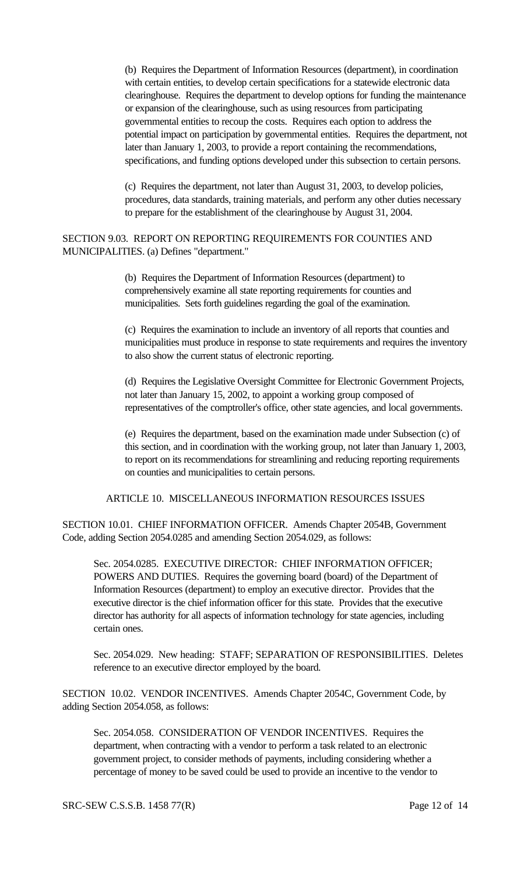(b) Requires the Department of Information Resources (department), in coordination with certain entities, to develop certain specifications for a statewide electronic data clearinghouse. Requires the department to develop options for funding the maintenance or expansion of the clearinghouse, such as using resources from participating governmental entities to recoup the costs. Requires each option to address the potential impact on participation by governmental entities. Requires the department, not later than January 1, 2003, to provide a report containing the recommendations, specifications, and funding options developed under this subsection to certain persons.

(c) Requires the department, not later than August 31, 2003, to develop policies, procedures, data standards, training materials, and perform any other duties necessary to prepare for the establishment of the clearinghouse by August 31, 2004.

### SECTION 9.03. REPORT ON REPORTING REQUIREMENTS FOR COUNTIES AND MUNICIPALITIES. (a) Defines "department."

(b) Requires the Department of Information Resources (department) to comprehensively examine all state reporting requirements for counties and municipalities. Sets forth guidelines regarding the goal of the examination.

(c) Requires the examination to include an inventory of all reports that counties and municipalities must produce in response to state requirements and requires the inventory to also show the current status of electronic reporting.

(d) Requires the Legislative Oversight Committee for Electronic Government Projects, not later than January 15, 2002, to appoint a working group composed of representatives of the comptroller's office, other state agencies, and local governments.

(e) Requires the department, based on the examination made under Subsection (c) of this section, and in coordination with the working group, not later than January 1, 2003, to report on its recommendations for streamlining and reducing reporting requirements on counties and municipalities to certain persons.

ARTICLE 10. MISCELLANEOUS INFORMATION RESOURCES ISSUES

SECTION 10.01. CHIEF INFORMATION OFFICER. Amends Chapter 2054B, Government Code, adding Section 2054.0285 and amending Section 2054.029, as follows:

Sec. 2054.0285. EXECUTIVE DIRECTOR: CHIEF INFORMATION OFFICER; POWERS AND DUTIES. Requires the governing board (board) of the Department of Information Resources (department) to employ an executive director. Provides that the executive director is the chief information officer for this state. Provides that the executive director has authority for all aspects of information technology for state agencies, including certain ones.

Sec. 2054.029. New heading: STAFF; SEPARATION OF RESPONSIBILITIES. Deletes reference to an executive director employed by the board.

SECTION 10.02. VENDOR INCENTIVES. Amends Chapter 2054C, Government Code, by adding Section 2054.058, as follows:

Sec. 2054.058. CONSIDERATION OF VENDOR INCENTIVES. Requires the department, when contracting with a vendor to perform a task related to an electronic government project, to consider methods of payments, including considering whether a percentage of money to be saved could be used to provide an incentive to the vendor to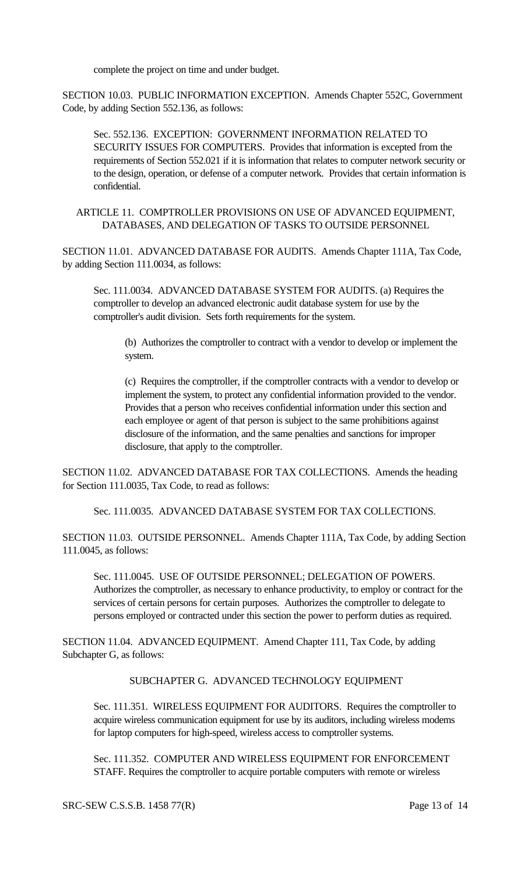complete the project on time and under budget.

SECTION 10.03. PUBLIC INFORMATION EXCEPTION. Amends Chapter 552C, Government Code, by adding Section 552.136, as follows:

Sec. 552.136. EXCEPTION: GOVERNMENT INFORMATION RELATED TO SECURITY ISSUES FOR COMPUTERS. Provides that information is excepted from the requirements of Section 552.021 if it is information that relates to computer network security or to the design, operation, or defense of a computer network. Provides that certain information is confidential.

ARTICLE 11. COMPTROLLER PROVISIONS ON USE OF ADVANCED EQUIPMENT, DATABASES, AND DELEGATION OF TASKS TO OUTSIDE PERSONNEL

SECTION 11.01. ADVANCED DATABASE FOR AUDITS. Amends Chapter 111A, Tax Code, by adding Section 111.0034, as follows:

Sec. 111.0034. ADVANCED DATABASE SYSTEM FOR AUDITS. (a) Requires the comptroller to develop an advanced electronic audit database system for use by the comptroller's audit division. Sets forth requirements for the system.

(b) Authorizes the comptroller to contract with a vendor to develop or implement the system.

(c) Requires the comptroller, if the comptroller contracts with a vendor to develop or implement the system, to protect any confidential information provided to the vendor. Provides that a person who receives confidential information under this section and each employee or agent of that person is subject to the same prohibitions against disclosure of the information, and the same penalties and sanctions for improper disclosure, that apply to the comptroller.

SECTION 11.02. ADVANCED DATABASE FOR TAX COLLECTIONS. Amends the heading for Section 111.0035, Tax Code, to read as follows:

Sec. 111.0035. ADVANCED DATABASE SYSTEM FOR TAX COLLECTIONS.

SECTION 11.03. OUTSIDE PERSONNEL. Amends Chapter 111A, Tax Code, by adding Section 111.0045, as follows:

Sec. 111.0045. USE OF OUTSIDE PERSONNEL; DELEGATION OF POWERS. Authorizes the comptroller, as necessary to enhance productivity, to employ or contract for the services of certain persons for certain purposes. Authorizes the comptroller to delegate to persons employed or contracted under this section the power to perform duties as required.

SECTION 11.04. ADVANCED EQUIPMENT. Amend Chapter 111, Tax Code, by adding Subchapter G, as follows:

SUBCHAPTER G. ADVANCED TECHNOLOGY EQUIPMENT

Sec. 111.351. WIRELESS EQUIPMENT FOR AUDITORS. Requires the comptroller to acquire wireless communication equipment for use by its auditors, including wireless modems for laptop computers for high-speed, wireless access to comptroller systems.

Sec. 111.352. COMPUTER AND WIRELESS EQUIPMENT FOR ENFORCEMENT STAFF. Requires the comptroller to acquire portable computers with remote or wireless